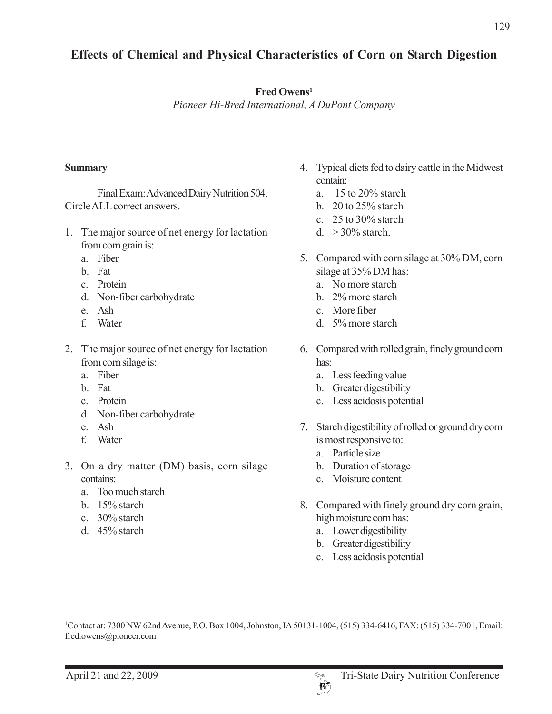## **Effects of Chemical and Physical Characteristics of Corn on Starch Digestion**

## **Fred Owens1**

*Pioneer Hi-Bred International, A DuPont Company*

## **Summary**

Final Exam: Advanced Dairy Nutrition 504. Circle ALL correct answers.

- 1. The major source of net energy for lactation from corn grain is:
	- a. Fiber
	- b. Fat
	- c. Protein
	- d. Non-fiber carbohydrate
	- e. Ash
	- f. Water
- 2. The major source of net energy for lactation from corn silage is:
	- a. Fiber
	- b. Fat
	- c. Protein
	- d. Non-fiber carbohydrate
	- e. Ash
	- f. Water
- 3. On a dry matter (DM) basis, corn silage contains:
	- a. Too much starch
	- b. 15% starch
	- c. 30% starch
	- d. 45% starch
- 4. Typical diets fed to dairy cattle in the Midwest contain:
	- a. 15 to 20% starch
	- b.  $20$  to  $25\%$  starch
	- c. 25 to 30% starch
	- d.  $>$  30% starch.
- 5. Compared with corn silage at 30% DM, corn silage at 35% DM has:
	- a. No more starch
	- b. 2% more starch
	- c. More fiber
	- d. 5% more starch
- 6. Compared with rolled grain, finely ground corn has:
	- a. Less feeding value
	- b. Greater digestibility
	- c. Less acidosis potential
- 7. Starch digestibility of rolled or ground dry corn is most responsive to:
	- a. Particle size
	- b. Duration of storage
	- c. Moisture content
- 8. Compared with finely ground dry corn grain, high moisture corn has:
	- a. Lower digestibility
	- b. Greater digestibility
	- c. Less acidosis potential



<sup>1</sup> Contact at: 7300 NW 62nd Avenue, P.O. Box 1004, Johnston, IA 50131-1004, (515) 334-6416, FAX: (515) 334-7001, Email: fred.owens@pioneer.com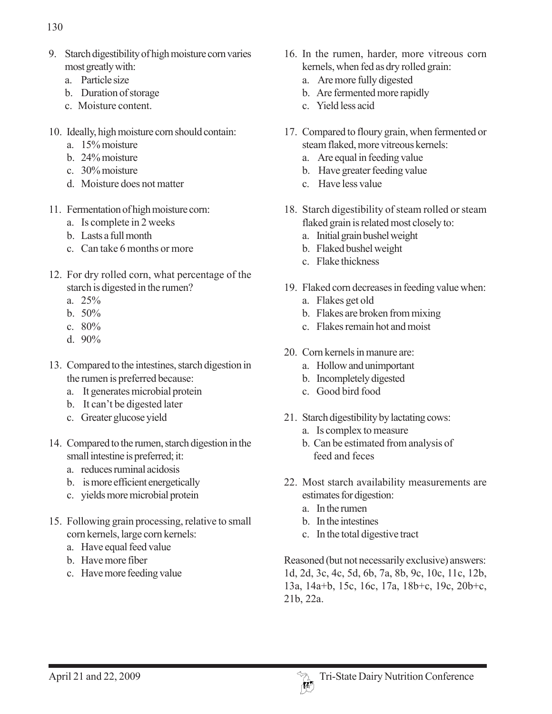- 9. Starch digestibility of high moisture corn varies most greatly with:
	- a. Particle size
	- b. Duration of storage
	- c. Moisture content.
- 10. Ideally, high moisture corn should contain:
	- a. 15% moisture
	- b. 24% moisture
	- c. 30% moisture
	- d. Moisture does not matter
- 11. Fermentation of high moisture corn:
	- a. Is complete in 2 weeks
	- b. Lasts a full month
	- c. Can take 6 months or more
- 12. For dry rolled corn, what percentage of the starch is digested in the rumen?
	- a. 25%
	- b. 50%
	- c. 80%
	- d. 90%
- 13. Compared to the intestines, starch digestion in the rumen is preferred because:
	- a. It generates microbial protein
	- b. It can't be digested later
	- c. Greater glucose yield
- 14. Compared to the rumen, starch digestion in the small intestine is preferred; it:
	- a. reduces ruminal acidosis
	- b. is more efficient energetically
	- c. yields more microbial protein
- 15. Following grain processing, relative to small corn kernels, large corn kernels:
	- a. Have equal feed value
	- b. Have more fiber
	- c. Have more feeding value
- 16. In the rumen, harder, more vitreous corn kernels, when fed as dry rolled grain:
	- a. Are more fully digested
	- b. Are fermented more rapidly
	- c. Yield less acid
- 17. Compared to floury grain, when fermented or steam flaked, more vitreous kernels:
	- a. Are equal in feeding value
	- b. Have greater feeding value
	- c. Have less value
- 18. Starch digestibility of steam rolled or steam flaked grain is related most closely to:
	- a. Initial grain bushel weight
	- b. Flaked bushel weight
	- c. Flake thickness
- 19. Flaked corn decreases in feeding value when:
	- a. Flakes get old
	- b. Flakes are broken from mixing
	- c. Flakes remain hot and moist
- 20. Corn kernels in manure are:
	- a. Hollow and unimportant
	- b. Incompletely digested
	- c. Good bird food
- 21. Starch digestibility by lactating cows:
	- a. Is complex to measure
	- b. Can be estimated from analysis of feed and feces
- 22. Most starch availability measurements are estimates for digestion:
	- a. In the rumen
	- b. In the intestines
	- c. In the total digestive tract

Reasoned (but not necessarily exclusive) answers: 1d, 2d, 3c, 4c, 5d, 6b, 7a, 8b, 9c, 10c, 11c, 12b, 13a, 14a+b, 15c, 16c, 17a, 18b+c, 19c, 20b+c, 21b, 22a.

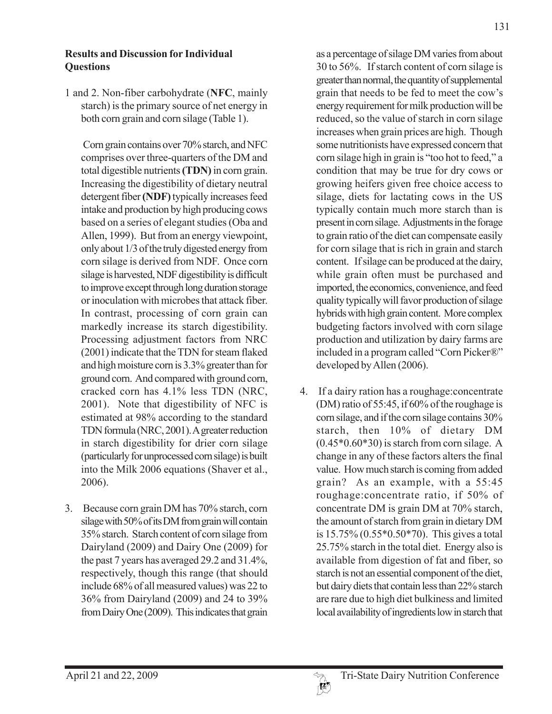1 and 2. Non-fiber carbohydrate (**NFC**, mainly starch) is the primary source of net energy in both corn grain and corn silage (Table 1).

Corn grain contains over 70% starch, and NFC comprises over three-quarters of the DM and total digestible nutrients **(TDN)** in corn grain. Increasing the digestibility of dietary neutral detergent fiber **(NDF)** typically increases feed intake and production by high producing cows based on a series of elegant studies (Oba and Allen, 1999). But from an energy viewpoint, only about 1/3 of the truly digested energy from corn silage is derived from NDF. Once corn silage is harvested, NDF digestibility is difficult to improve except through long duration storage or inoculation with microbes that attack fiber. In contrast, processing of corn grain can markedly increase its starch digestibility. Processing adjustment factors from NRC (2001) indicate that the TDN for steam flaked and high moisture corn is 3.3% greater than for ground corn. And compared with ground corn, cracked corn has 4.1% less TDN (NRC, 2001). Note that digestibility of NFC is estimated at 98% according to the standard TDN formula (NRC, 2001). A greater reduction in starch digestibility for drier corn silage (particularly for unprocessed corn silage) is built into the Milk 2006 equations (Shaver et al., 2006).

3. Because corn grain DM has 70% starch, corn silage with 50% of its DM from grain will contain 35% starch. Starch content of corn silage from Dairyland (2009) and Dairy One (2009) for the past 7 years has averaged 29.2 and 31.4%, respectively, though this range (that should include 68% of all measured values) was 22 to 36% from Dairyland (2009) and 24 to 39% from Dairy One (2009). This indicates that grain

as a percentage of silage DM varies from about 30 to 56%. If starch content of corn silage is greater than normal, the quantity of supplemental grain that needs to be fed to meet the cow's energy requirement for milk production will be reduced, so the value of starch in corn silage increases when grain prices are high. Though some nutritionists have expressed concern that corn silage high in grain is "too hot to feed," a condition that may be true for dry cows or growing heifers given free choice access to silage, diets for lactating cows in the US typically contain much more starch than is present in corn silage. Adjustments in the forage to grain ratio of the diet can compensate easily for corn silage that is rich in grain and starch content. If silage can be produced at the dairy, while grain often must be purchased and imported, the economics, convenience, and feed quality typically will favor production of silage hybrids with high grain content. More complex budgeting factors involved with corn silage production and utilization by dairy farms are included in a program called "Corn Picker®" developed by Allen (2006).

4. If a dairy ration has a roughage:concentrate (DM) ratio of 55:45, if 60% of the roughage is corn silage, and if the corn silage contains 30% starch, then 10% of dietary DM  $(0.45*0.60*30)$  is starch from corn silage. A change in any of these factors alters the final value. How much starch is coming from added grain? As an example, with a 55:45 roughage:concentrate ratio, if 50% of concentrate DM is grain DM at 70% starch, the amount of starch from grain in dietary DM is 15.75% (0.55\*0.50\*70). This gives a total 25.75% starch in the total diet. Energy also is available from digestion of fat and fiber, so starch is not an essential component of the diet, but dairy diets that contain less than 22% starch are rare due to high diet bulkiness and limited local availability of ingredients low in starch that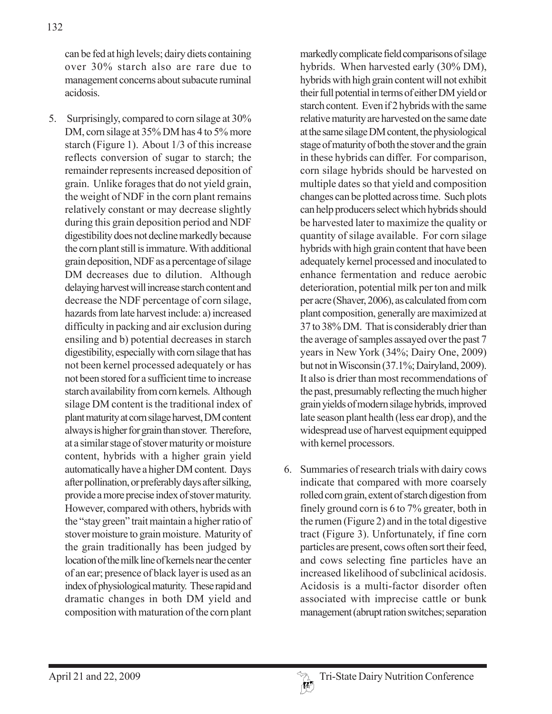can be fed at high levels; dairy diets containing over 30% starch also are rare due to management concerns about subacute ruminal acidosis.

5. Surprisingly, compared to corn silage at 30% DM, corn silage at 35% DM has 4 to 5% more starch (Figure 1). About 1/3 of this increase reflects conversion of sugar to starch; the remainder represents increased deposition of grain. Unlike forages that do not yield grain, the weight of NDF in the corn plant remains relatively constant or may decrease slightly during this grain deposition period and NDF digestibility does not decline markedly because the corn plant still is immature. With additional grain deposition, NDF as a percentage of silage DM decreases due to dilution. Although delaying harvest will increase starch content and decrease the NDF percentage of corn silage, hazards from late harvest include: a) increased difficulty in packing and air exclusion during ensiling and b) potential decreases in starch digestibility, especially with corn silage that has not been kernel processed adequately or has not been stored for a sufficient time to increase starch availability from corn kernels. Although silage DM content is the traditional index of plant maturity at corn silage harvest, DM content always is higher for grain than stover. Therefore, at a similar stage of stover maturity or moisture content, hybrids with a higher grain yield automatically have a higher DM content. Days after pollination, or preferably days after silking, provide a more precise index of stover maturity. However, compared with others, hybrids with the "stay green" trait maintain a higher ratio of stover moisture to grain moisture. Maturity of the grain traditionally has been judged by location of the milk line of kernels near the center of an ear; presence of black layer is used as an index of physiological maturity. These rapid and dramatic changes in both DM yield and composition with maturation of the corn plant

markedly complicate field comparisons of silage hybrids. When harvested early (30% DM), hybrids with high grain content will not exhibit their full potential in terms of either DM yield or starch content. Even if 2 hybrids with the same relative maturity are harvested on the same date at the same silage DM content, the physiological stage of maturity of both the stover and the grain in these hybrids can differ. For comparison, corn silage hybrids should be harvested on multiple dates so that yield and composition changes can be plotted across time. Such plots can help producers select which hybrids should be harvested later to maximize the quality or quantity of silage available. For corn silage hybrids with high grain content that have been adequately kernel processed and inoculated to enhance fermentation and reduce aerobic deterioration, potential milk per ton and milk per acre (Shaver, 2006), as calculated from corn plant composition, generally are maximized at 37 to 38% DM. That is considerably drier than the average of samples assayed over the past 7 years in New York (34%; Dairy One, 2009) but not in Wisconsin (37.1%; Dairyland, 2009). It also is drier than most recommendations of the past, presumably reflecting the much higher grain yields of modern silage hybrids, improved late season plant health (less ear drop), and the widespread use of harvest equipment equipped with kernel processors.

6. Summaries of research trials with dairy cows indicate that compared with more coarsely rolled corn grain, extent of starch digestion from finely ground corn is 6 to 7% greater, both in the rumen (Figure 2) and in the total digestive tract (Figure 3). Unfortunately, if fine corn particles are present, cows often sort their feed, and cows selecting fine particles have an increased likelihood of subclinical acidosis. Acidosis is a multi-factor disorder often associated with imprecise cattle or bunk management (abrupt ration switches; separation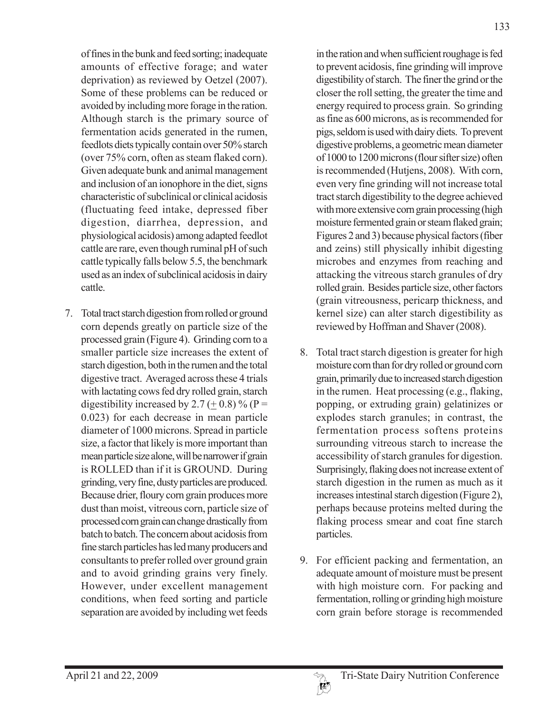of fines in the bunk and feed sorting; inadequate amounts of effective forage; and water deprivation) as reviewed by Oetzel (2007). Some of these problems can be reduced or avoided by including more forage in the ration. Although starch is the primary source of fermentation acids generated in the rumen, feedlots diets typically contain over 50% starch (over 75% corn, often as steam flaked corn). Given adequate bunk and animal management and inclusion of an ionophore in the diet, signs characteristic of subclinical or clinical acidosis (fluctuating feed intake, depressed fiber digestion, diarrhea, depression, and physiological acidosis) among adapted feedlot cattle are rare, even though ruminal pH of such cattle typically falls below 5.5, the benchmark used as an index of subclinical acidosis in dairy cattle.

7. Total tract starch digestion from rolled or ground corn depends greatly on particle size of the processed grain (Figure 4). Grinding corn to a smaller particle size increases the extent of starch digestion, both in the rumen and the total digestive tract. Averaged across these 4 trials with lactating cows fed dry rolled grain, starch digestibility increased by 2.7 ( $\pm$  0.8) % (P = 0.023) for each decrease in mean particle diameter of 1000 microns. Spread in particle size, a factor that likely is more important than mean particle size alone, will be narrower if grain is ROLLED than if it is GROUND. During grinding, very fine, dusty particles are produced. Because drier, floury corn grain produces more dust than moist, vitreous corn, particle size of processed corn grain can change drastically from batch to batch. The concern about acidosis from fine starch particles has led many producers and consultants to prefer rolled over ground grain and to avoid grinding grains very finely. However, under excellent management conditions, when feed sorting and particle separation are avoided by including wet feeds

in the ration and when sufficient roughage is fed to prevent acidosis, fine grinding will improve digestibility of starch. The finer the grind or the closer the roll setting, the greater the time and energy required to process grain. So grinding as fine as 600 microns, as is recommended for pigs, seldom is used with dairy diets. To prevent digestive problems, a geometric mean diameter of 1000 to 1200 microns (flour sifter size) often is recommended (Hutjens, 2008). With corn, even very fine grinding will not increase total tract starch digestibility to the degree achieved with more extensive corn grain processing (high moisture fermented grain or steam flaked grain; Figures 2 and 3) because physical factors (fiber and zeins) still physically inhibit digesting microbes and enzymes from reaching and attacking the vitreous starch granules of dry rolled grain. Besides particle size, other factors (grain vitreousness, pericarp thickness, and kernel size) can alter starch digestibility as reviewed by Hoffman and Shaver (2008).

- 8. Total tract starch digestion is greater for high moisture corn than for dry rolled or ground corn grain, primarily due to increased starch digestion in the rumen. Heat processing (e.g., flaking, popping, or extruding grain) gelatinizes or explodes starch granules; in contrast, the fermentation process softens proteins surrounding vitreous starch to increase the accessibility of starch granules for digestion. Surprisingly, flaking does not increase extent of starch digestion in the rumen as much as it increases intestinal starch digestion (Figure 2), perhaps because proteins melted during the flaking process smear and coat fine starch particles.
- 9. For efficient packing and fermentation, an adequate amount of moisture must be present with high moisture corn. For packing and fermentation, rolling or grinding high moisture corn grain before storage is recommended

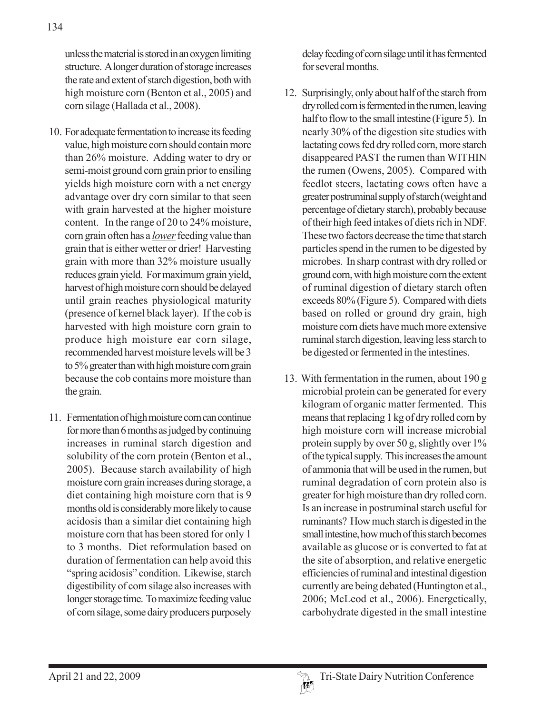unless the material is stored in an oxygen limiting structure. A longer duration of storage increases the rate and extent of starch digestion, both with high moisture corn (Benton et al., 2005) and corn silage (Hallada et al., 2008).

- 10. For adequate fermentation to increase its feeding value, high moisture corn should contain more than 26% moisture. Adding water to dry or semi-moist ground corn grain prior to ensiling yields high moisture corn with a net energy advantage over dry corn similar to that seen with grain harvested at the higher moisture content. In the range of 20 to 24% moisture, corn grain often has a *lower* feeding value than grain that is either wetter or drier! Harvesting grain with more than 32% moisture usually reduces grain yield. For maximum grain yield, harvest of high moisture corn should be delayed until grain reaches physiological maturity (presence of kernel black layer). If the cob is harvested with high moisture corn grain to produce high moisture ear corn silage, recommended harvest moisture levels will be 3 to 5% greater than with high moisture corn grain because the cob contains more moisture than the grain.
- 11. Fermentation of high moisture corn can continue for more than 6 months as judged by continuing increases in ruminal starch digestion and solubility of the corn protein (Benton et al., 2005). Because starch availability of high moisture corn grain increases during storage, a diet containing high moisture corn that is 9 months old is considerably more likely to cause acidosis than a similar diet containing high moisture corn that has been stored for only 1 to 3 months. Diet reformulation based on duration of fermentation can help avoid this "spring acidosis" condition. Likewise, starch digestibility of corn silage also increases with longer storage time. To maximize feeding value of corn silage, some dairy producers purposely

delay feeding of corn silage until it has fermented for several months.

- 12. Surprisingly, only about half of the starch from dry rolled corn is fermented in the rumen, leaving half to flow to the small intestine (Figure 5). In nearly 30% of the digestion site studies with lactating cows fed dry rolled corn, more starch disappeared PAST the rumen than WITHIN the rumen (Owens, 2005). Compared with feedlot steers, lactating cows often have a greater postruminal supply of starch (weight and percentage of dietary starch), probably because of their high feed intakes of diets rich in NDF. These two factors decrease the time that starch particles spend in the rumen to be digested by microbes. In sharp contrast with dry rolled or ground corn, with high moisture corn the extent of ruminal digestion of dietary starch often exceeds 80% (Figure 5). Compared with diets based on rolled or ground dry grain, high moisture corn diets have much more extensive ruminal starch digestion, leaving less starch to be digested or fermented in the intestines.
- 13. With fermentation in the rumen, about 190 g microbial protein can be generated for every kilogram of organic matter fermented. This means that replacing 1 kg of dry rolled corn by high moisture corn will increase microbial protein supply by over 50 g, slightly over 1% of the typical supply. This increases the amount of ammonia that will be used in the rumen, but ruminal degradation of corn protein also is greater for high moisture than dry rolled corn. Is an increase in postruminal starch useful for ruminants? How much starch is digested in the small intestine, how much of this starch becomes available as glucose or is converted to fat at the site of absorption, and relative energetic efficiencies of ruminal and intestinal digestion currently are being debated (Huntington et al., 2006; McLeod et al., 2006). Energetically, carbohydrate digested in the small intestine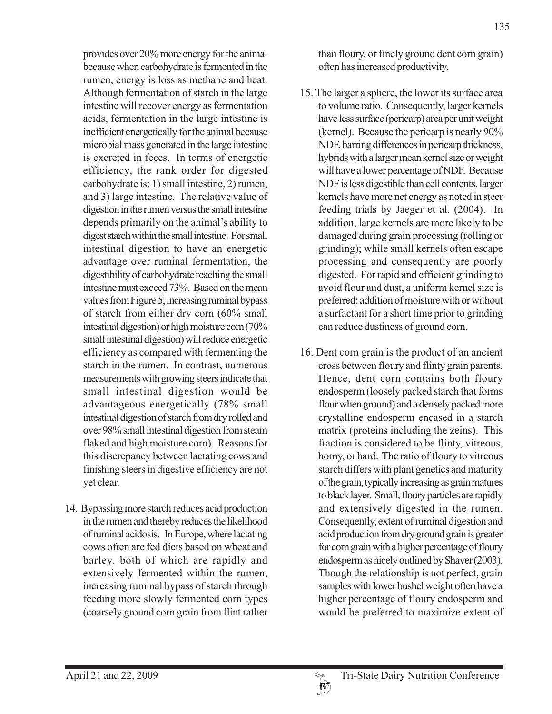provides over 20% more energy for the animal because when carbohydrate is fermented in the rumen, energy is loss as methane and heat. Although fermentation of starch in the large intestine will recover energy as fermentation acids, fermentation in the large intestine is inefficient energetically for the animal because microbial mass generated in the large intestine is excreted in feces. In terms of energetic efficiency, the rank order for digested carbohydrate is: 1) small intestine, 2) rumen, and 3) large intestine. The relative value of digestion in the rumen versus the small intestine depends primarily on the animal's ability to digest starch within the small intestine. For small intestinal digestion to have an energetic advantage over ruminal fermentation, the digestibility of carbohydrate reaching the small intestine must exceed 73%. Based on the mean values from Figure 5, increasing ruminal bypass of starch from either dry corn (60% small intestinal digestion) or high moisture corn (70% small intestinal digestion) will reduce energetic efficiency as compared with fermenting the starch in the rumen. In contrast, numerous measurements with growing steers indicate that small intestinal digestion would be advantageous energetically (78% small intestinal digestion of starch from dry rolled and over 98% small intestinal digestion from steam flaked and high moisture corn). Reasons for this discrepancy between lactating cows and finishing steers in digestive efficiency are not yet clear.

14. Bypassing more starch reduces acid production in the rumen and thereby reduces the likelihood of ruminal acidosis. In Europe, where lactating cows often are fed diets based on wheat and barley, both of which are rapidly and extensively fermented within the rumen, increasing ruminal bypass of starch through feeding more slowly fermented corn types (coarsely ground corn grain from flint rather

than floury, or finely ground dent corn grain) often has increased productivity.

- 15. The larger a sphere, the lower its surface area to volume ratio. Consequently, larger kernels have less surface (pericarp) area per unit weight (kernel). Because the pericarp is nearly 90% NDF, barring differences in pericarp thickness, hybrids with a larger mean kernel size or weight will have a lower percentage of NDF. Because NDF is less digestible than cell contents, larger kernels have more net energy as noted in steer feeding trials by Jaeger et al. (2004). In addition, large kernels are more likely to be damaged during grain processing (rolling or grinding); while small kernels often escape processing and consequently are poorly digested. For rapid and efficient grinding to avoid flour and dust, a uniform kernel size is preferred; addition of moisture with or without a surfactant for a short time prior to grinding can reduce dustiness of ground corn.
- 16. Dent corn grain is the product of an ancient cross between floury and flinty grain parents. Hence, dent corn contains both floury endosperm (loosely packed starch that forms flour when ground) and a densely packed more crystalline endosperm encased in a starch matrix (proteins including the zeins). This fraction is considered to be flinty, vitreous, horny, or hard. The ratio of floury to vitreous starch differs with plant genetics and maturity of the grain, typically increasing as grain matures to black layer. Small, floury particles are rapidly and extensively digested in the rumen. Consequently, extent of ruminal digestion and acid production from dry ground grain is greater for corn grain with a higher percentage of floury endosperm as nicely outlined by Shaver (2003). Though the relationship is not perfect, grain samples with lower bushel weight often have a higher percentage of floury endosperm and would be preferred to maximize extent of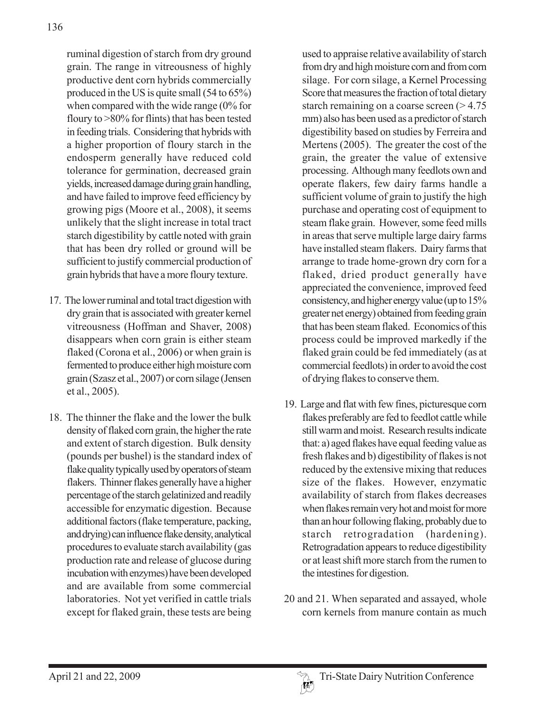ruminal digestion of starch from dry ground grain. The range in vitreousness of highly productive dent corn hybrids commercially produced in the US is quite small (54 to 65%) when compared with the wide range (0% for floury to >80% for flints) that has been tested in feeding trials. Considering that hybrids with a higher proportion of floury starch in the endosperm generally have reduced cold tolerance for germination, decreased grain yields, increased damage during grain handling, and have failed to improve feed efficiency by growing pigs (Moore et al., 2008), it seems unlikely that the slight increase in total tract starch digestibility by cattle noted with grain that has been dry rolled or ground will be sufficient to justify commercial production of grain hybrids that have a more floury texture.

- 17. The lower ruminal and total tract digestion with dry grain that is associated with greater kernel vitreousness (Hoffman and Shaver, 2008) disappears when corn grain is either steam flaked (Corona et al., 2006) or when grain is fermented to produce either high moisture corn grain (Szasz et al., 2007) or corn silage (Jensen et al., 2005).
- 18. The thinner the flake and the lower the bulk density of flaked corn grain, the higher the rate and extent of starch digestion. Bulk density (pounds per bushel) is the standard index of flake quality typically used by operators of steam flakers. Thinner flakes generally have a higher percentage of the starch gelatinized and readily accessible for enzymatic digestion. Because additional factors (flake temperature, packing, and drying) can influence flake density, analytical procedures to evaluate starch availability (gas production rate and release of glucose during incubation with enzymes) have been developed and are available from some commercial laboratories. Not yet verified in cattle trials except for flaked grain, these tests are being

used to appraise relative availability of starch from dry and high moisture corn and from corn silage. For corn silage, a Kernel Processing Score that measures the fraction of total dietary starch remaining on a coarse screen  $(>4.75$ mm) also has been used as a predictor of starch digestibility based on studies by Ferreira and Mertens (2005). The greater the cost of the grain, the greater the value of extensive processing. Although many feedlots own and operate flakers, few dairy farms handle a sufficient volume of grain to justify the high purchase and operating cost of equipment to steam flake grain. However, some feed mills in areas that serve multiple large dairy farms have installed steam flakers. Dairy farms that arrange to trade home-grown dry corn for a flaked, dried product generally have appreciated the convenience, improved feed consistency, and higher energy value (up to 15% greater net energy) obtained from feeding grain that has been steam flaked. Economics of this process could be improved markedly if the flaked grain could be fed immediately (as at commercial feedlots) in order to avoid the cost of drying flakes to conserve them.

- 19. Large and flat with few fines, picturesque corn flakes preferably are fed to feedlot cattle while still warm and moist. Research results indicate that: a) aged flakes have equal feeding value as fresh flakes and b) digestibility of flakes is not reduced by the extensive mixing that reduces size of the flakes. However, enzymatic availability of starch from flakes decreases when flakes remain very hot and moist for more than an hour following flaking, probably due to starch retrogradation (hardening). Retrogradation appears to reduce digestibility or at least shift more starch from the rumen to the intestines for digestion.
- 20 and 21. When separated and assayed, whole corn kernels from manure contain as much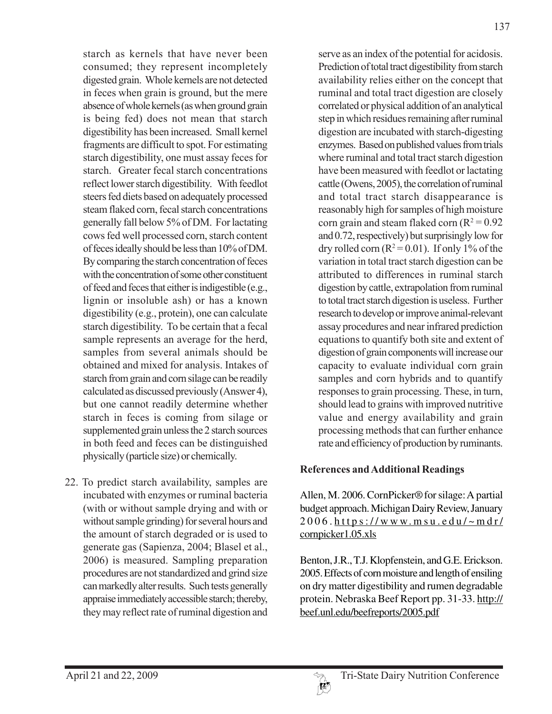starch as kernels that have never been consumed; they represent incompletely digested grain. Whole kernels are not detected in feces when grain is ground, but the mere absence of whole kernels (as when ground grain is being fed) does not mean that starch digestibility has been increased. Small kernel fragments are difficult to spot. For estimating starch digestibility, one must assay feces for starch. Greater fecal starch concentrations reflect lower starch digestibility. With feedlot steers fed diets based on adequately processed steam flaked corn, fecal starch concentrations generally fall below 5% of DM. For lactating cows fed well processed corn, starch content of feces ideally should be less than 10% of DM. By comparing the starch concentration of feces with the concentration of some other constituent of feed and feces that either is indigestible (e.g., lignin or insoluble ash) or has a known digestibility (e.g., protein), one can calculate starch digestibility. To be certain that a fecal sample represents an average for the herd, samples from several animals should be obtained and mixed for analysis. Intakes of starch from grain and corn silage can be readily calculated as discussed previously (Answer 4), but one cannot readily determine whether starch in feces is coming from silage or supplemented grain unless the 2 starch sources in both feed and feces can be distinguished physically (particle size) or chemically.

22. To predict starch availability, samples are incubated with enzymes or ruminal bacteria (with or without sample drying and with or without sample grinding) for several hours and the amount of starch degraded or is used to generate gas (Sapienza, 2004; Blasel et al., 2006) is measured. Sampling preparation procedures are not standardized and grind size can markedly alter results. Such tests generally appraise immediately accessible starch; thereby, they may reflect rate of ruminal digestion and

serve as an index of the potential for acidosis. Prediction of total tract digestibility from starch availability relies either on the concept that ruminal and total tract digestion are closely correlated or physical addition of an analytical step in which residues remaining after ruminal digestion are incubated with starch-digesting enzymes. Based on published values from trials where ruminal and total tract starch digestion have been measured with feedlot or lactating cattle (Owens, 2005), the correlation of ruminal and total tract starch disappearance is reasonably high for samples of high moisture corn grain and steam flaked corn  $(R^2 = 0.92)$ and 0.72, respectively) but surprisingly low for dry rolled corn  $(R^2 = 0.01)$ . If only 1% of the variation in total tract starch digestion can be attributed to differences in ruminal starch digestion by cattle, extrapolation from ruminal to total tract starch digestion is useless. Further research to develop or improve animal-relevant assay procedures and near infrared prediction equations to quantify both site and extent of digestion of grain components will increase our capacity to evaluate individual corn grain samples and corn hybrids and to quantify responses to grain processing. These, in turn, should lead to grains with improved nutritive value and energy availability and grain processing methods that can further enhance rate and efficiency of production by ruminants.

## **References and Additional Readings**

Allen, M. 2006. CornPicker®for silage: A partial budget approach. Michigan Dairy Review, January 2006. https://www.msu.edu/~mdr/ cornpicker1.05.xls

Benton, J.R., T.J. Klopfenstein, and G.E. Erickson. 2005. Effects of corn moisture and length of ensiling on dry matter digestibility and rumen degradable protein. Nebraska Beef Report pp. 31-33. http:// beef.unl.edu/beefreports/2005.pdf

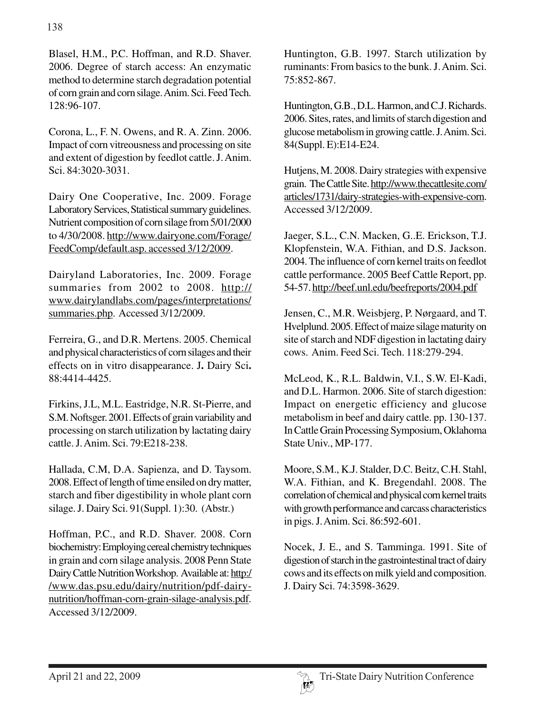Blasel, H.M., P.C. Hoffman, and R.D. Shaver. 2006. Degree of starch access: An enzymatic method to determine starch degradation potential of corn grain and corn silage. Anim. Sci. Feed Tech. 128:96-107.

Corona, L., F. N. Owens, and R. A. Zinn. 2006. Impact of corn vitreousness and processing on site and extent of digestion by feedlot cattle. J. Anim. Sci. 84:3020-3031.

Dairy One Cooperative, Inc. 2009. Forage Laboratory Services, Statistical summary guidelines. Nutrient composition of corn silage from 5/01/2000 to 4/30/2008. http://www.dairyone.com/Forage/ FeedComp/default.asp. accessed 3/12/2009.

Dairyland Laboratories, Inc. 2009. Forage summaries from 2002 to 2008. http:// www.dairylandlabs.com/pages/interpretations/ summaries.php. Accessed 3/12/2009.

Ferreira, G., and D.R. Mertens. 2005. Chemical and physical characteristics of corn silages and their effects on in vitro disappearance. J**.** Dairy Sci**.** 88:4414-4425.

Firkins, J.L, M.L. Eastridge, N.R. St-Pierre, and S.M. Noftsger. 2001. Effects of grain variability and processing on starch utilization by lactating dairy cattle. J. Anim. Sci. 79:E218-238.

Hallada, C.M, D.A. Sapienza, and D. Taysom. 2008. Effect of length of time ensiled on dry matter, starch and fiber digestibility in whole plant corn silage. J. Dairy Sci. 91(Suppl. 1):30. (Abstr.)

Hoffman, P.C., and R.D. Shaver. 2008. Corn biochemistry: Employing cereal chemistry techniques in grain and corn silage analysis. 2008 Penn State Dairy Cattle Nutrition Workshop. Available at: http:/ /www.das.psu.edu/dairy/nutrition/pdf-dairynutrition/hoffman-corn-grain-silage-analysis.pdf. Accessed 3/12/2009.

Huntington, G.B. 1997. Starch utilization by ruminants: From basics to the bunk. J. Anim. Sci. 75:852-867.

Huntington, G.B., D.L. Harmon, and C.J. Richards. 2006. Sites, rates, and limits of starch digestion and glucose metabolism in growing cattle. J. Anim. Sci. 84(Suppl. E):E14-E24.

Hutjens, M. 2008. Dairy strategies with expensive grain. The Cattle Site. http://www.thecattlesite.com/ articles/1731/dairy-strategies-with-expensive-corn. Accessed 3/12/2009.

Jaeger, S.L., C.N. Macken, G..E. Erickson, T.J. Klopfenstein, W.A. Fithian, and D.S. Jackson. 2004. The influence of corn kernel traits on feedlot cattle performance. 2005 Beef Cattle Report, pp. 54-57. http://beef.unl.edu/beefreports/2004.pdf

Jensen, C., M.R. Weisbjerg, P. Nørgaard, and T. Hvelplund. 2005. Effect of maize silage maturity on site of starch and NDF digestion in lactating dairy cows. Anim. Feed Sci. Tech. 118:279-294.

McLeod, K., R.L. Baldwin, V.I., S.W. El-Kadi, and D.L. Harmon. 2006. Site of starch digestion: Impact on energetic efficiency and glucose metabolism in beef and dairy cattle. pp. 130-137. In Cattle Grain Processing Symposium, Oklahoma State Univ., MP-177.

Moore, S.M., K.J. Stalder, D.C. Beitz, C.H. Stahl, W.A. Fithian, and K. Bregendahl. 2008. The correlation of chemical and physical corn kernel traits with growth performance and carcass characteristics in pigs. J. Anim. Sci. 86:592-601.

Nocek, J. E., and S. Tamminga. 1991. Site of digestion of starch in the gastrointestinal tract of dairy cows and its effects on milk yield and composition. J. Dairy Sci. 74:3598-3629.

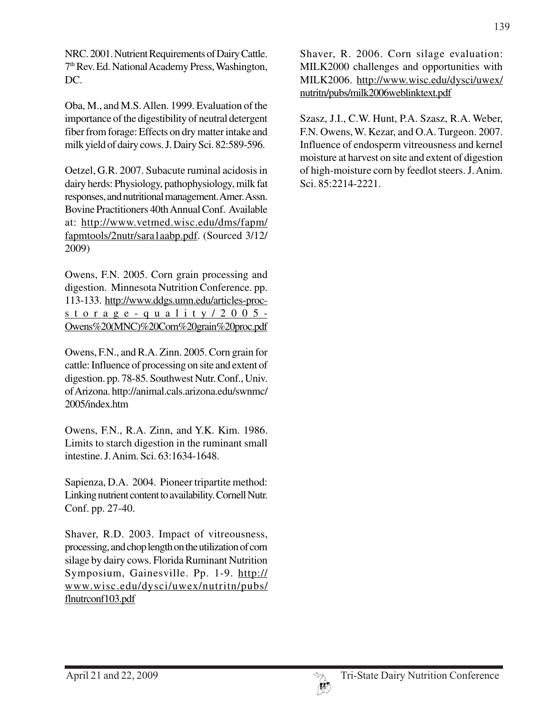NRC. 2001. Nutrient Requirements of Dairy Cattle. 7th Rev. Ed. National Academy Press, Washington, DC.

Oba, M., and M.S. Allen. 1999. Evaluation of the importance of the digestibility of neutral detergent fiber from forage: Effects on dry matter intake and milk yield of dairy cows. J. Dairy Sci. 82:589-596.

Oetzel, G.R. 2007. Subacute ruminal acidosis in dairy herds: Physiology, pathophysiology, milk fat responses, and nutritional management. Amer. Assn. Bovine Practitioners 40th Annual Conf. Available at: http://www.vetmed.wisc.edu/dms/fapm/ fapmtools/2nutr/sara1aabp.pdf. (Sourced 3/12/ 2009)

Owens, F.N. 2005. Corn grain processing and digestion. Minnesota Nutrition Conference. pp. 113-133. http://www.ddgs.umn.edu/articles-procstorage-quality/2005- Owens%20(MNC)%20Corn%20grain%20proc.pdf

Owens, F.N., and R.A. Zinn. 2005. Corn grain for cattle: Influence of processing on site and extent of digestion. pp. 78-85. Southwest Nutr. Conf., Univ. of Arizona. http://animal.cals.arizona.edu/swnmc/ 2005/index.htm

Owens, F.N., R.A. Zinn, and Y.K. Kim. 1986. Limits to starch digestion in the ruminant small intestine. J. Anim. Sci. 63:1634-1648.

Sapienza, D.A. 2004. Pioneer tripartite method: Linking nutrient content to availability. Cornell Nutr. Conf. pp. 27-40.

Shaver, R.D. 2003. Impact of vitreousness, processing, and chop length on the utilization of corn silage by dairy cows. Florida Ruminant Nutrition Symposium, Gainesville. Pp. 1-9. http:// www.wisc.edu/dysci/uwex/nutritn/pubs/ flnutrconf103.pdf

Shaver, R. 2006. Corn silage evaluation: MILK2000 challenges and opportunities with MILK2006. http://www.wisc.edu/dysci/uwex/ nutritn/pubs/milk2006weblinktext.pdf

Szasz, J.I., C.W. Hunt, P.A. Szasz, R.A. Weber, F.N. Owens, W. Kezar, and O.A. Turgeon. 2007. Influence of endosperm vitreousness and kernel moisture at harvest on site and extent of digestion of high-moisture corn by feedlot steers. J. Anim. Sci. 85:2214-2221.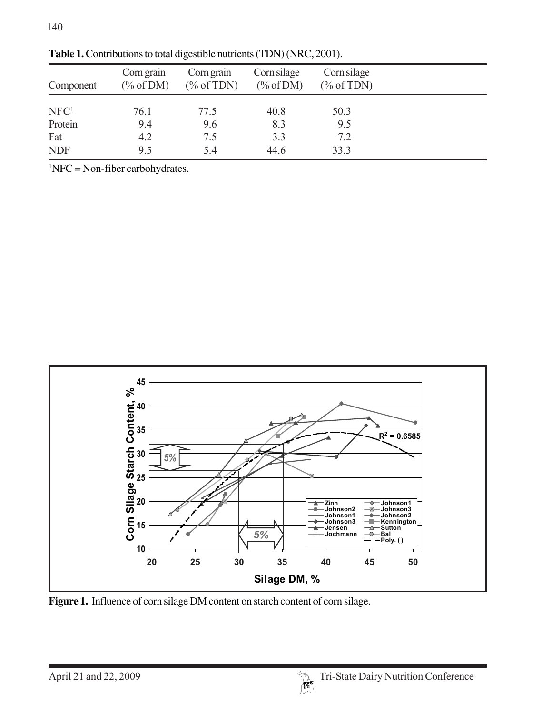| Component        | Corn grain<br>$(\% \text{ of DM})$ | Corn grain<br>$(\% \text{ of TDN})$ | Corn silage<br>$(\% \text{ of DM})$ | Corn silage<br>$(\% \text{ of TDN})$ |  |
|------------------|------------------------------------|-------------------------------------|-------------------------------------|--------------------------------------|--|
| NFC <sup>1</sup> | 76.1                               | 77.5                                | 40.8                                | 50.3                                 |  |
| Protein          | 9.4                                | 9.6                                 | 8.3                                 | 9.5                                  |  |
| Fat              | 4.2                                | 7.5                                 | 3.3                                 | 7.2                                  |  |
| <b>NDF</b>       | 9.5                                | 5.4                                 | 44.6                                | 33.3                                 |  |

Table 1. Contributions to total digestible nutrients (TDN) (NRC, 2001).

1 NFC = Non-fiber carbohydrates.



**Figure 1.** Influence of corn silage DM content on starch content of corn silage.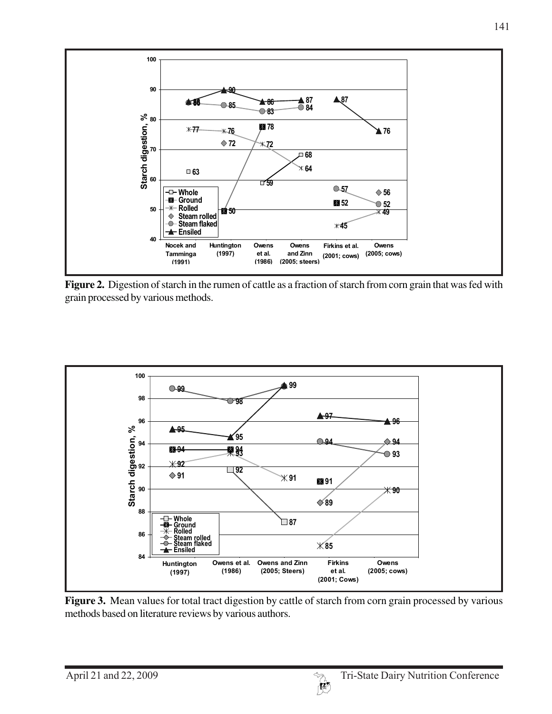

**Figure 2.** Digestion of starch in the rumen of cattle as a fraction of starch from corn grain that was fed with grain processed by various methods.



Figure 3. Mean values for total tract digestion by cattle of starch from corn grain processed by various methods based on literature reviews by various authors.